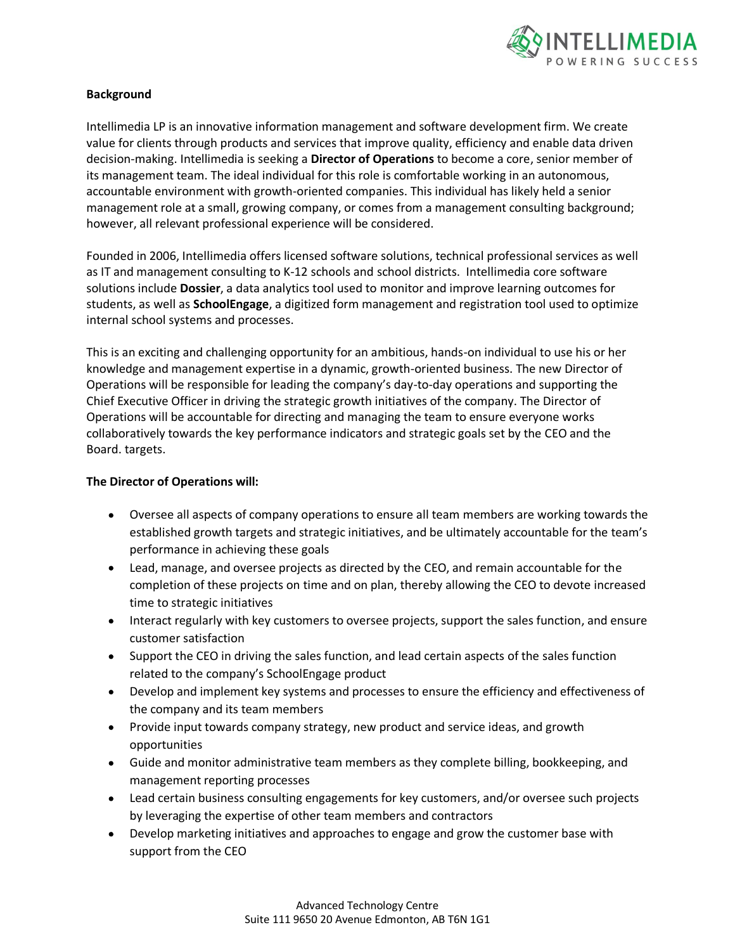

## **Background**

Intellimedia LP is an innovative information management and software development firm. We create value for clients through products and services that improve quality, efficiency and enable data driven decision-making. Intellimedia is seeking a **Director of Operations** to become a core, senior member of its management team. The ideal individual for this role is comfortable working in an autonomous, accountable environment with growth-oriented companies. This individual has likely held a senior management role at a small, growing company, or comes from a management consulting background; however, all relevant professional experience will be considered.

Founded in 2006, Intellimedia offers licensed software solutions, technical professional services as well as IT and management consulting to K-12 schools and school districts. Intellimedia core software solutions include **Dossier**, a data analytics tool used to monitor and improve learning outcomes for students, as well as **SchoolEngage**, a digitized form management and registration tool used to optimize internal school systems and processes.

This is an exciting and challenging opportunity for an ambitious, hands-on individual to use his or her knowledge and management expertise in a dynamic, growth-oriented business. The new Director of Operations will be responsible for leading the company's day-to-day operations and supporting the Chief Executive Officer in driving the strategic growth initiatives of the company. The Director of Operations will be accountable for directing and managing the team to ensure everyone works collaboratively towards the key performance indicators and strategic goals set by the CEO and the Board. targets.

## **The Director of Operations will:**

- Oversee all aspects of company operations to ensure all team members are working towards the established growth targets and strategic initiatives, and be ultimately accountable for the team's performance in achieving these goals
- Lead, manage, and oversee projects as directed by the CEO, and remain accountable for the completion of these projects on time and on plan, thereby allowing the CEO to devote increased time to strategic initiatives
- Interact regularly with key customers to oversee projects, support the sales function, and ensure customer satisfaction
- Support the CEO in driving the sales function, and lead certain aspects of the sales function related to the company's SchoolEngage product
- Develop and implement key systems and processes to ensure the efficiency and effectiveness of the company and its team members
- Provide input towards company strategy, new product and service ideas, and growth opportunities
- Guide and monitor administrative team members as they complete billing, bookkeeping, and management reporting processes
- Lead certain business consulting engagements for key customers, and/or oversee such projects by leveraging the expertise of other team members and contractors
- Develop marketing initiatives and approaches to engage and grow the customer base with support from the CEO